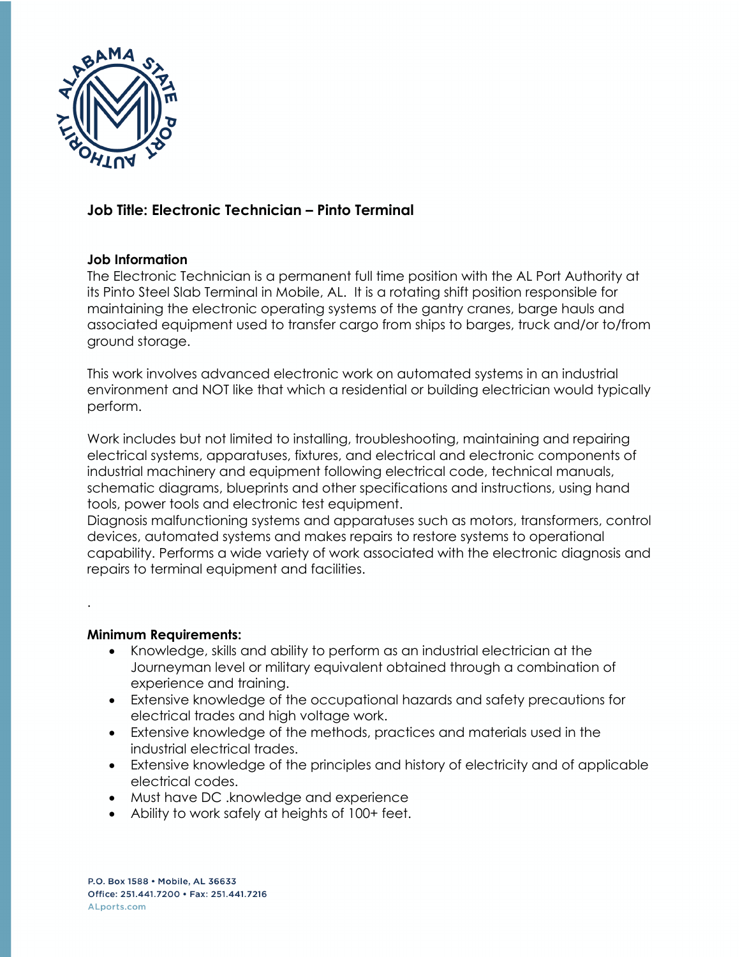

## **Job Title: Electronic Technician – Pinto Terminal**

## **Job Information**

The Electronic Technician is a permanent full time position with the AL Port Authority at its Pinto Steel Slab Terminal in Mobile, AL. It is a rotating shift position responsible for maintaining the electronic operating systems of the gantry cranes, barge hauls and associated equipment used to transfer cargo from ships to barges, truck and/or to/from ground storage.

This work involves advanced electronic work on automated systems in an industrial environment and NOT like that which a residential or building electrician would typically perform.

Work includes but not limited to installing, troubleshooting, maintaining and repairing electrical systems, apparatuses, fixtures, and electrical and electronic components of industrial machinery and equipment following electrical code, technical manuals, schematic diagrams, blueprints and other specifications and instructions, using hand tools, power tools and electronic test equipment.

Diagnosis malfunctioning systems and apparatuses such as motors, transformers, control devices, automated systems and makes repairs to restore systems to operational capability. Performs a wide variety of work associated with the electronic diagnosis and repairs to terminal equipment and facilities.

## **Minimum Requirements:**

.

- Knowledge, skills and ability to perform as an industrial electrician at the Journeyman level or military equivalent obtained through a combination of experience and training.
- Extensive knowledge of the occupational hazards and safety precautions for electrical trades and high voltage work.
- Extensive knowledge of the methods, practices and materials used in the industrial electrical trades.
- Extensive knowledge of the principles and history of electricity and of applicable electrical codes.
- Must have DC .knowledge and experience
- Ability to work safely at heights of 100+ feet.